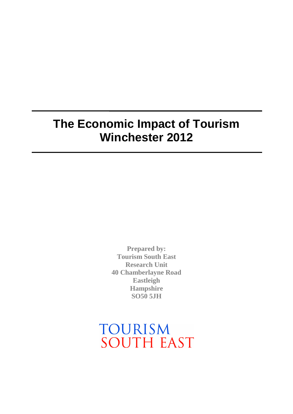# **The Economic Impact of Tourism Winchester 2012**

**Prepared by: Tourism South East Research Unit 40 Chamberlayne Road Eastleigh Hampshire SO50 5JH**

TOURISM **SOUTH EAST**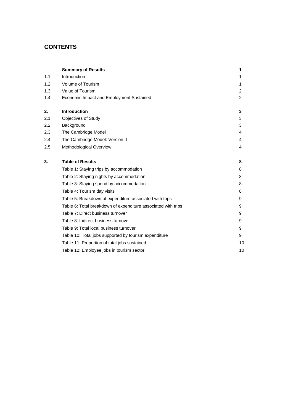## **CONTENTS**

|     | <b>Summary of Results</b>                                     | 1              |
|-----|---------------------------------------------------------------|----------------|
| 1.1 | Introduction                                                  | 1              |
| 1.2 | Volume of Tourism                                             | 1              |
| 1.3 | Value of Tourism                                              | $\overline{2}$ |
| 1.4 | Economic Impact and Employment Sustained                      | $\overline{2}$ |
| 2.  | <b>Introduction</b>                                           | 3              |
| 2.1 | Objectives of Study                                           | 3              |
| 2.2 | Background                                                    | 3              |
| 2.3 | The Cambridge Model                                           | 4              |
| 2.4 | The Cambridge Model: Version II                               | 4              |
| 2.5 | Methodological Overview                                       | 4              |
| 3.  | <b>Table of Results</b>                                       | 8              |
|     | Table 1: Staying trips by accommodation                       | 8              |
|     | Table 2: Staying nights by accommodation                      | 8              |
|     | Table 3: Staying spend by accommodation                       | 8              |
|     | Table 4: Tourism day visits                                   | 8              |
|     | Table 5: Breakdown of expenditure associated with trips       | 9              |
|     | Table 6: Total breakdown of expenditure associated with trips | 9              |
|     | Table 7: Direct business turnover                             | 9              |
|     | Table 8: Indirect business turnover                           | 9              |
|     | Table 9: Total local business turnover                        | 9              |
|     | Table 10: Total jobs supported by tourism expenditure         | 9              |
|     | Table 11: Proportion of total jobs sustained                  | 10             |
|     | Table 12: Employee jobs in tourism sector                     | 10             |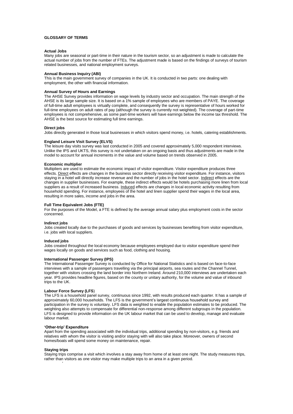#### **GLOSSARY OF TERMS**

#### **Actual Jobs**

Many jobs are seasonal or part-time in their nature in the tourism sector, so an adjustment is made to calculate the actual number of jobs from the number of FTEs. The adjustment made is based on the findings of surveys of tourism related businesses, and national employment surveys.

#### **Annual Business Inquiry (ABI)**

This is the main government survey of companies in the UK. It is conducted in two parts: one dealing with employment, the other with financial information.

#### **Annual Survey of Hours and Earnings**

The AHSE Survey provides information on wage levels by industry sector and occupation. The main strength of the AHSE is its large sample size. It is based on a 1% sample of employees who are members of PAYE. The coverage of full-time adult employees is virtually complete, and consequently the survey is representative of hours worked for full-time employees on adult rates of pay (although the survey is currently not weighted). The coverage of part-time employees is not comprehensive, as some part-time workers will have earnings below the income tax threshold. The AHSE is the best source for estimating full time earnings.

#### **Direct jobs**

Jobs directly generated in those local businesses in which visitors spend money, i.e. hotels, catering establishments.

#### **England Leisure Visit Survey (ELVS)**

The leisure day visits survey was last conducted in 2005 and covered approximately 5,000 respondent interviews. Unlike the IPS and UKTS, this survey is not undertaken on an ongoing basis and thus adjustments are made in the model to account for annual increments in the value and volume based on trends observed in 2005.

#### **Economic multiplier**

Multipliers are used to estimate the economic impact of visitor expenditure. Visitor expenditure produces three effects. Direct effects are changes in the business sector directly receiving visitor expenditure. For instance, visitors staying in a hotel will directly increase revenue and the number of jobs in the hotel sector. Indirect effects are the changes in supplier businesses. For example, these indirect effects would be hotels purchasing more linen from local suppliers as a result of increased business. Induced effects are changes in local economic activity resulting from household spending. For instance, employees of the hotel and linen supplier spend their wages in the local area, resulting in more sales, income and jobs in the area.

#### **Full Time Equivalent Jobs (FTE)**

For the purposes of the Model, a FTE is defined by the average annual salary plus employment costs in the sector concerned.

#### **Indirect jobs**

Jobs created locally due to the purchases of goods and services by businesses benefiting from visitor expenditure, i.e. jobs with local suppliers.

#### **Induced jobs**

Jobs created throughout the local economy because employees employed due to visitor expenditure spend their wages locally on goods and services such as food, clothing and housing.

#### **International Passenger Survey (IPS)**

The International Passenger Survey is conducted by Office for National Statistics and is based on face-to-face interviews with a sample of passengers travelling via the principal airports, sea routes and the Channel Tunnel, together with visitors crossing the land border into Northern Ireland. Around 210,000 interviews are undertaken each year. IPS provides headline figures, based on the county or unitary authority, for the volume and value of inbound trips to the UK.

#### **Labour Force Survey (LFS**)

The LFS is a household panel survey, continuous since 1992, with results produced each quarter. It has a sample of approximately 60,000 households. The LFS is the government's largest continuous household survey and participation in the survey is voluntary. LFS data is weighted to enable the population estimates to be produced. The weighting also attempts to compensate for differential non-response among different subgroups in the population. LFS is designed to provide information on the UK labour market that can be used to develop, manage and evaluate labour market.

#### **'Other-trip' Expenditure**

Apart from the spending associated with the individual trips, additional spending by non-visitors, e.g. friends and relatives with whom the visitor is visiting and/or staying with will also take place. Moreover, owners of second homes/boats will spend some money on maintenance, repair.

#### **Staying trips**

Staying trips comprise a visit which involves a stay away from home of at least one night. The study measures trips, rather than visitors as one visitor may make multiple trips to an area in a given period.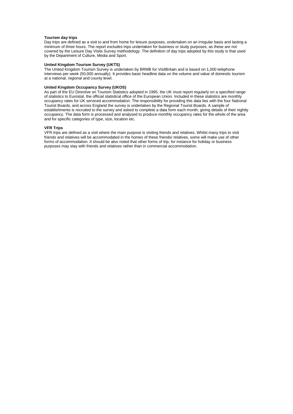#### **Tourism day trips**

Day trips are defined as a visit to and from home for leisure purposes, undertaken on an irregular basis and lasting a minimum of three hours. The report excludes trips undertaken for business or study purposes, as these are not covered by the Leisure Day Visits Survey methodology. The definition of day trips adopted by this study is that used by the Department of Culture, Media and Sport.

#### **United Kingdom Tourism Survey (UKTS)**

The United Kingdom Tourism Survey is undertaken by BRMB for VisitBritain and is based on 1,000 telephone interviews per week (50,000 annually). It provides basic headline data on the volume and value of domestic tourism at a national, regional and county level.

#### **United Kingdom Occupancy Survey (UKOS)**

As part of the EU Directive on Tourism Statistics adopted in 1995, the UK must report regularly on a specified range of statistics to Eurostat, the official statistical office of the European Union. Included in these statistics are monthly occupancy rates for UK serviced accommodation. The responsibility for providing this data lies with the four National Tourist Boards, and across England the survey is undertaken by the Regional Tourist Boards. A sample of establishments is recruited to the survey and asked to complete a data form each month, giving details of their nightly occupancy. The data form is processed and analysed to produce monthly occupancy rates for the whole of the area and for specific categories of type, size, location etc.

#### **VFR Trips**

VFR trips are defined as a visit where the main purpose is visiting friends and relatives. Whilst many trips to visit friends and relatives will be accommodated in the homes of these friends/ relatives, some will make use of other forms of accommodation. It should be also noted that other forms of trip, for instance for holiday or business purposes may stay with friends and relatives rather than in commercial accommodation.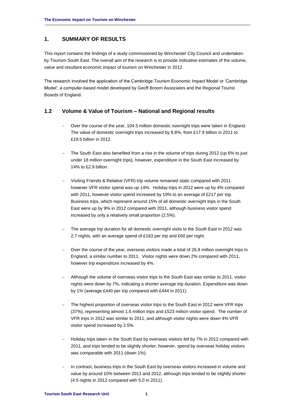## **1. SUMMARY OF RESULTS**

This report contains the findings of a study commissioned by Winchester City Council and undertaken by Tourism South East. The overall aim of the research is to provide indicative estimates of the volume, value and resultant economic impact of tourism on Winchester in 2012.

The research involved the application of the Cambridge Tourism Economic Impact Model or 'Cambridge Model'; a computer-based model developed by Geoff Broom Associates and the Regional Tourist Boards of England.

## **1.2 Volume & Value of Tourism – National and Regional results**

- Over the course of the year, 104.5 million domestic overnight trips were taken in England. The value of domestic overnight trips increased by 8.8%, from £17.9 billion in 2011 to £19.5 billion in 2012.
- The South East also benefited from a rise in the volume of trips during 2012 (up 6% to just under 18 million overnight trips), however, expenditure in the South East increased by 14% to £2.9 billion.
- Visiting Friends & Relative (VFR) trip volume remained static compared with 2011 however VFR visitor spend was up 14%. Holiday trips in 2012 were up by 4% compared with 2011, however visitor spend increased by 19% to an average of £217 per trip. Business trips, which represent around 15% of all domestic overnight trips in the South East were up by 9% in 2012 compared with 2011, although business visitor spend increased by only a relatively small proportion (2.5%).
- The average trip duration for all domestic overnight visits to the South East in 2012 was 2.7 nights, with an average spend of £163 per trip and £60 per night.
- Over the course of the year, overseas visitors made a total of 26.8 million overnight trips in England, a similar number to 2011. Visitor nights were down 2% compared with 2011, however trip expenditure increased by 4%.
- Although the volume of overseas visitor trips to the South East was similar to 2011, visitor nights were down by 7%, indicating a shorter average trip duration. Expenditure was down by 1% (average £440 per trip compared with £444 in 2011).
- The highest proportion of overseas visitor trips to the South East in 2012 were VFR trips (37%), representing almost 1.6 million trips and £523 million visitor spend. The number of VFR trips in 2012 was similar to 2011, and although visitor nights were down 4% VFR visitor spend increased by 2.5%.
- Holiday trips taken in the South East by overseas visitors fell by 7% in 2012 compared with 2011, and trips tended to be slightly shorter, however, spend by overseas holiday visitors was comparable with 2011 (down 1%).
- In contrast, business trips in the South East by overseas visitors increased in volume and value by around 10% between 2011 and 2012, although trips tended to be slightly shorter (4.5 nights in 2012 compared with 5.0 in 2011).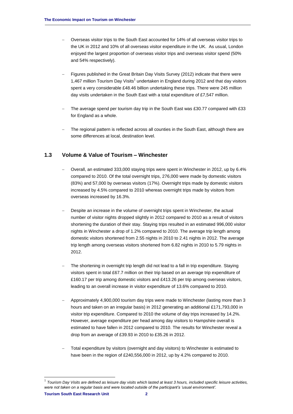- Overseas visitor trips to the South East accounted for 14% of all overseas visitor trips to the UK in 2012 and 10% of all overseas visitor expenditure in the UK. As usual, London enjoyed the largest proportion of overseas visitor trips and overseas visitor spend (50% and 54% respectively).
- Figures published in the Great Britain Day Visits Survey (2012) indicate that there were 1,467 million Tourism Day Visits<sup>1</sup> undertaken in England during 2012 and that day visitors spent a very considerable £48.46 billion undertaking these trips. There were 245 million day visits undertaken in the South East with a total expenditure of £7,547 million.
- The average spend per tourism day trip in the South East was £30.77 compared with £33 for England as a whole.
- The regional pattern is reflected across all counties in the South East, although there are some differences at local, destination level.

## **1.3 Volume & Value of Tourism – Winchester**

- Overall, an estimated 333,000 staying trips were spent in Winchester in 2012, up by 6.4% compared to 2010. Of the total overnight trips, 276,000 were made by domestic visitors (83%) and 57,000 by overseas visitors (17%). Overnight trips made by domestic visitors increased by 4.5% compared to 2010 whereas overnight trips made by visitors from overseas increased by 16.3%.
- Despite an increase in the volume of overnight trips spent in Winchester, the actual number of visitor nights dropped slightly in 2012 compared to 2010 as a result of visitors shortening the duration of their stay. Staying trips resulted in an estimated 996,000 visitor nights in Winchester a drop of 1.2% compared to 2010. The average trip length among domestic visitors shortened from 2.55 nights in 2010 to 2.41 nights in 2012. The average trip length among overseas visitors shortened from 6.82 nights in 2010 to 5.79 nights in 2012.
- The shortening in overnight trip length did not lead to a fall in trip expenditure. Staying visitors spent in total £67.7 million on their trip based on an average trip expenditure of £160.17 per trip among domestic visitors and £413.26 per trip among overseas visitors, leading to an overall increase in visitor expenditure of 13.6% compared to 2010.
- Approximately 4,900,000 tourism day trips were made to Winchester (lasting more than 3 hours and taken on an irregular basis) in 2012 generating an additional £171,793,000 in visitor trip expenditure. Compared to 2010 the volume of day trips increased by 14.2%. However, average expenditure per head among day visitors to Hampshire overall is estimated to have fallen in 2012 compared to 2010. The results for Winchester reveal a drop from an average of £39.93 in 2010 to £35.26 in 2012.
- Total expenditure by visitors (overnight and day visitors) to Winchester is estimated to have been in the region of £240,556,000 in 2012, up by 4.2% compared to 2010.

-

**Tourism South East Research Unit 2** 1 *Tourism Day Visits are defined as leisure day visits which lasted at least 3 hours, included specific leisure activities, were not taken on a regular basis and were located outside of the participant's 'usual environment'.*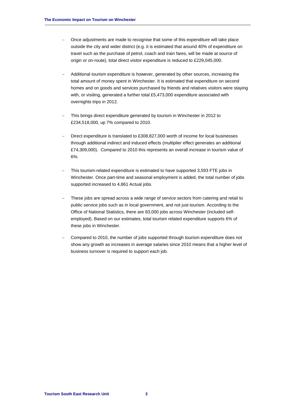- Once adjustments are made to recognise that some of this expenditure will take place outside the city and wider district (e.g. it is estimated that around 40% of expenditure on travel such as the purchase of petrol, coach and train fares, will be made at source of origin or on-route), total direct visitor expenditure is reduced to £229,045,000.
- Additional tourism expenditure is however, generated by other sources, increasing the total amount of money spent in Winchester. It is estimated that expenditure on second homes and on goods and services purchased by friends and relatives visitors were staying with, or visiting, generated a further total £5,473,000 expenditure associated with overnights trips in 2012.
- This brings direct expenditure generated by tourism in Winchester in 2012 to £234,518,000, up 7% compared to 2010.
- Direct expenditure is translated to £308,827,000 worth of income for local businesses through additional indirect and induced effects (multiplier effect generates an additional £74,309,000). Compared to 2010 this represents an overall increase in tourism value of 6%.
- This tourism-related expenditure is estimated to have supported 3,593 FTE jobs in Winchester. Once part-time and seasonal employment is added, the total number of jobs supported increased to 4,861 Actual jobs.
- These jobs are spread across a wide range of service sectors from catering and retail to public service jobs such as in local government, and not just tourism. According to the Office of National Statistics, there are 83,000 jobs across Winchester (included selfemployed). Based on our estimates, total tourism related expenditure supports 6% of these jobs in Winchester.
- Compared to 2010, the number of jobs supported through tourism expenditure does not show any growth as increases in average salaries since 2010 means that a higher level of business turnover is required to support each job.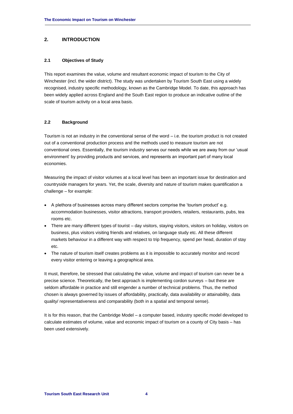## **2. INTRODUCTION**

### **2.1 Objectives of Study**

This report examines the value, volume and resultant economic impact of tourism to the City of Winchester (incl. the wider district). The study was undertaken by Tourism South East using a widely recognised, industry specific methodology, known as the Cambridge Model. To date, this approach has been widely applied across England and the South East region to produce an indicative outline of the scale of tourism activity on a local area basis.

## **2.2 Background**

Tourism is not an industry in the conventional sense of the word – i.e. the tourism product is not created out of a conventional production process and the methods used to measure tourism are not conventional ones. Essentially, the tourism industry serves our needs while we are away from our 'usual environment' by providing products and services, and represents an important part of many local economies.

Measuring the impact of visitor volumes at a local level has been an important issue for destination and countryside managers for years. Yet, the scale, diversity and nature of tourism makes quantification a challenge – for example:

- A plethora of businesses across many different sectors comprise the 'tourism product' e.g. accommodation businesses, visitor attractions, transport providers, retailers, restaurants, pubs, tea rooms etc.
- There are many different types of tourist day visitors, staying visitors, visitors on holiday, visitors on business, plus visitors visiting friends and relatives, on language study etc. All these different markets behaviour in a different way with respect to trip frequency, spend per head, duration of stay etc.
- The nature of tourism itself creates problems as it is impossible to accurately monitor and record every visitor entering or leaving a geographical area.

It must, therefore, be stressed that calculating the value, volume and impact of tourism can never be a precise science. Theoretically, the best approach is implementing cordon surveys – but these are seldom affordable in practice and still engender a number of technical problems. Thus, the method chosen is always governed by issues of affordability, practically, data availability or attainability, data quality/ representativeness and comparability (both in a spatial and temporal sense).

It is for this reason, that the Cambridge Model – a computer based, industry specific model developed to calculate estimates of volume, value and economic impact of tourism on a county of City basis – has been used extensively.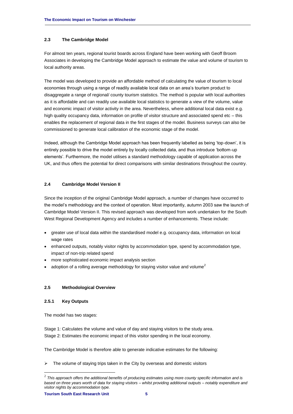## **2.3 The Cambridge Model**

For almost ten years, regional tourist boards across England have been working with Geoff Broom Associates in developing the Cambridge Model approach to estimate the value and volume of tourism to local authority areas.

The model was developed to provide an affordable method of calculating the value of tourism to local economies through using a range of readily available local data on an area's tourism product to disaggregate a range of regional/ county tourism statistics. The method is popular with local authorities as it is affordable and can readily use available local statistics to generate a view of the volume, value and economic impact of visitor activity in the area. Nevertheless, where additional local data exist e.g. high quality occupancy data, information on profile of visitor structure and associated spend etc – this enables the replacement of regional data in the first stages of the model. Business surveys can also be commissioned to generate local calibration of the economic stage of the model.

Indeed, although the Cambridge Model approach has been frequently labelled as being 'top-down', it is entirely possible to drive the model entirely by locally collected data, and thus introduce 'bottom-up elements'. Furthermore, the model utilises a standard methodology capable of application across the UK, and thus offers the potential for direct comparisons with similar destinations throughout the country.

## **2.4 Cambridge Model Version II**

Since the inception of the original Cambridge Model approach, a number of changes have occurred to the model's methodology and the context of operation. Most importantly, autumn 2003 saw the launch of Cambridge Model Version II. This revised approach was developed from work undertaken for the South West Regional Development Agency and includes a number of enhancements. These include:

- greater use of local data within the standardised model e.g. occupancy data, information on local wage rates
- enhanced outputs, notably visitor nights by accommodation type, spend by accommodation type, impact of non-trip related spend
- more sophisticated economic impact analysis section
- adoption of a rolling average methodology for staying visitor value and volume<sup>2</sup>

## **2.5 Methodological Overview**

## **2.5.1 Key Outputs**

The model has two stages:

Stage 1: Calculates the volume and value of day and staying visitors to the study area. Stage 2: Estimates the economic impact of this visitor spending in the local economy.

The Cambridge Model is therefore able to generate indicative estimates for the following:

 $\triangleright$  The volume of staying trips taken in the City by overseas and domestic visitors

-

 $^2$  This approach offers the additional benefits of producing estimates using more county specific information and is *based on three years worth of data for staying visitors – whilst providing additional outputs – notably expenditure and visitor nights by accommodation type.*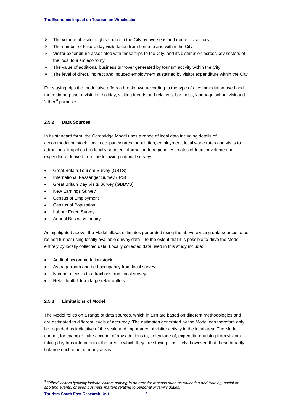- $\triangleright$  The volume of visitor nights spend in the City by overseas and domestic visitors
- $\triangleright$  The number of leisure day visits taken from home to and within the City
- $\triangleright$  Visitor expenditure associated with these trips to the City, and its distribution across key sectors of the local tourism economy
- $\triangleright$  The value of additional business turnover generated by tourism activity within the City
- $\triangleright$  The level of direct, indirect and induced employment sustained by visitor expenditure within the City

For staying trips the model also offers a breakdown according to the type of accommodation used and the main purpose of visit, i.e. holiday, visiting friends and relatives, business, language school visit and 'other'<sup>3</sup> purposes.

## **2.5.2 Data Sources**

In its standard form, the Cambridge Model uses a range of local data including details of accommodation stock, local occupancy rates, population, employment, local wage rates and visits to attractions. It applies this locally sourced information to regional estimates of tourism volume and expenditure derived from the following national surveys:

- Great Britain Tourism Survey (GBTS)
- International Passenger Survey (IPS)
- Great Britain Day Visits Survey (GBDVS)
- New Earnings Survey
- Census of Employment
- Census of Population
- Labour Force Survey
- Annual Business Inquiry

As highlighted above, the Model allows estimates generated using the above existing data sources to be refined further using locally available survey data – to the extent that it is possible to drive the Model entirely by locally collected data. Locally collected data used in this study include:

- Audit of accommodation stock
- Average room and bed occupancy from local survey
- Number of visits to attractions from local survey
- Retail footfall from large retail outlets

## **2.5.3 Limitations of Model**

The Model relies on a range of data sources, which in turn are based on different methodologies and are estimated to different levels of accuracy. The estimates generated by the Model can therefore only be regarded as indicative of the scale and importance of visitor activity in the local area. The Model cannot, for example, take account of any additions to, or leakage of, expenditure arising from visitors taking day trips into or out of the area in which they are staying. It is likely, however, that these broadly balance each other in many areas.

 *3 'Other' visitors typically include visitors coming to an area for reasons such as education and training, social or sporting events, or even business matters relating to personal or family duties.*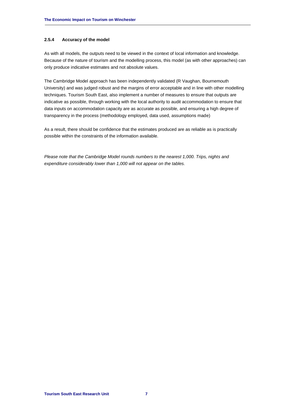## **2.5.4 Accuracy of the model**

As with all models, the outputs need to be viewed in the context of local information and knowledge. Because of the nature of tourism and the modelling process, this model (as with other approaches) can only produce indicative estimates and not absolute values.

The Cambridge Model approach has been independently validated (R Vaughan, Bournemouth University) and was judged robust and the margins of error acceptable and in line with other modelling techniques. Tourism South East, also implement a number of measures to ensure that outputs are indicative as possible, through working with the local authority to audit accommodation to ensure that data inputs on accommodation capacity are as accurate as possible, and ensuring a high degree of transparency in the process (methodology employed, data used, assumptions made)

As a result, there should be confidence that the estimates produced are as reliable as is practically possible within the constraints of the information available.

*Please note that the Cambridge Model rounds numbers to the nearest 1,000. Trips, nights and expenditure considerably lower than 1,000 will not appear on the tables.*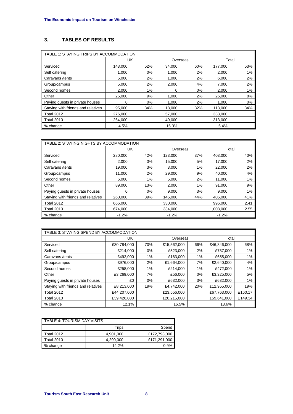## **3. TABLES OF RESULTS**

| TABLE 1: STAYING TRIPS BY ACCOMMODATION |         |     |        |          |         |       |  |
|-----------------------------------------|---------|-----|--------|----------|---------|-------|--|
|                                         | UK      |     |        | Overseas |         | Total |  |
| Serviced                                | 143,000 | 52% | 34,000 | 60%      | 177,000 | 53%   |  |
| Self catering                           | 1.000   | 0%  | 1,000  | 2%       | 2,000   | 1%    |  |
| Caravans /tents                         | 5,000   | 2%  | 1,000  | 2%       | 6,000   | 2%    |  |
| Group/campus                            | 5,000   | 2%  | 2,000  | 4%       | 7,000   | 2%    |  |
| Second homes                            | 2.000   | 1%  | 0      | $0\%$    | 2.000   | 1%    |  |
| Other                                   | 25,000  | 9%  | 1,000  | 2%       | 26,000  | 8%    |  |
| Paying guests in private houses         | 0       | 0%  | 1,000  | 2%       | 1,000   | 0%    |  |
| Staying with friends and relatives      | 95,000  | 34% | 18,000 | 32%      | 113,000 | 34%   |  |
| <b>Total 2012</b>                       | 276,000 |     | 57,000 |          | 333,000 |       |  |
| <b>Total 2010</b>                       | 264.000 |     | 49,000 |          | 313,000 |       |  |
| % change                                | 4.5%    |     | 16.3%  |          | 6.4%    |       |  |

| I TABLE 2: STAYING NIGHTS BY ACCOMMODATION |         |     |         |          |           |       |  |
|--------------------------------------------|---------|-----|---------|----------|-----------|-------|--|
|                                            |         | UK  |         | Overseas |           | Total |  |
| Serviced                                   | 280.000 | 42% | 123,000 | 37%      | 403.000   | 40%   |  |
| Self catering                              | 2,000   | 0%  | 15,000  | 5%       | 17,000    | 2%    |  |
| Caravans /tents                            | 19,000  | 3%  | 3,000   | 1%       | 22,000    | 2%    |  |
| Group/campus                               | 11,000  | 2%  | 29,000  | 9%       | 40,000    | 4%    |  |
| Second homes                               | 6.000   | 1%  | 5,000   | 2%       | 11.000    | 1%    |  |
| Other                                      | 89,000  | 13% | 2,000   | 1%       | 91,000    | 9%    |  |
| Paying guests in private houses            | 0       | 0%  | 9,000   | 3%       | 9,000     | 1%    |  |
| Staying with friends and relatives         | 260,000 | 39% | 145,000 | 44%      | 405.000   | 41%   |  |
| Total 2012                                 | 666,000 |     | 330,000 |          | 996,000   | 2.41  |  |
| <b>Total 2010</b>                          | 674.000 |     | 334.000 |          | 1.008.000 | 2.55  |  |
| % change                                   | $-1.2%$ |     | $-1.2%$ |          | $-1.2%$   |       |  |

| TABLE 3: STAYING SPEND BY ACCOMMODATION |             |     |             |       |             |         |  |
|-----------------------------------------|-------------|-----|-------------|-------|-------------|---------|--|
|                                         | UK          |     | Overseas    |       | Total       |         |  |
| Serviced                                | £30,784,000 | 70% | £15,562,000 | 66%   | £46,346,000 | 68%     |  |
| Self catering                           | £214,000    | 0%  | £523,000    | 2%    | £737,000    | 1%      |  |
| Caravans /tents                         | £492,000    | 1%  | £163,000    | 1%    | £655,000    | 1%      |  |
| Group/campus                            | £976,000    | 2%  | £1,664,000  | 7%    | £2,640,000  | 4%      |  |
| Second homes                            | £258,000    | 1%  | £214,000    | 1%    | £472,000    | 1%      |  |
| Other                                   | £3,269,000  | 7%  | £56,000     | $0\%$ | £3,325,000  | 5%      |  |
| Paying guests in private houses         | £0          | 0%  | £632,000    | 3%    | £632,000    | 1%      |  |
| Staying with friends and relatives      | £8,213,000  | 19% | £4,742,000  | 20%   | £12,955,000 | 19%     |  |
| <b>Total 2012</b>                       | £44,207,000 |     | £23,556,000 |       | £67,763,000 | £160.17 |  |
| <b>Total 2010</b>                       | £39,426,000 |     | £20,215,000 |       | £59,641,000 | £149.34 |  |
| % change                                | 12.1%       |     | 16.5%       |       | 13.6%       |         |  |

| TABLE 4: TOURISM DAY VISITS |           |              |  |  |  |
|-----------------------------|-----------|--------------|--|--|--|
|                             | Trips     | Spend        |  |  |  |
| Total 2012                  | 4.901.000 | £172,793,000 |  |  |  |
| <b>Total 2010</b>           | 4,290,000 | £171,291,000 |  |  |  |
| % change                    | 14.2%     | 0.9%         |  |  |  |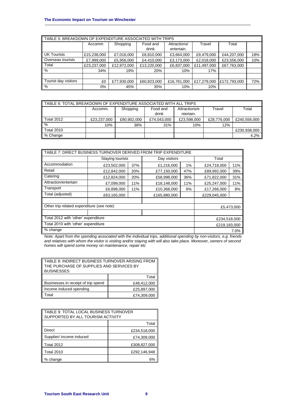| TABLE 5: BREAKDOWN OF EXPENDITURE ASSOCIATED WITH TRIPS |             |             |             |              |             |              |     |  |  |
|---------------------------------------------------------|-------------|-------------|-------------|--------------|-------------|--------------|-----|--|--|
|                                                         | Accomm      | Shopping    | Food and    | Attractions/ | Travel      | Total        |     |  |  |
|                                                         |             |             | drink       | entertain.   |             |              |     |  |  |
| <b>UK Tourists</b>                                      | £15,238,000 | £7,016,000  | £8,810,000  | £3,664,000   | £9,479,000  | £44,207,000  | 18% |  |  |
| Overseas tourists                                       | £7,999,000  | £5,956,000  | £4,410,000  | £3,173,000   | £2,018,000  | £23,556,000  | 10% |  |  |
| Total                                                   | £23,237,000 | £12,972,000 | £13,220,000 | £6,837,000   | £11,497,000 | £67,763,000  |     |  |  |
| %                                                       | 34%         | 19%         | 20%         | 10%          | 17%         |              |     |  |  |
|                                                         |             |             |             |              |             |              |     |  |  |
| Tourist day visitors                                    | £0          | £77,930,000 | £60,823,000 | £16,761,000  | £17,279,000 | £172,793,000 | 72% |  |  |
| %                                                       | $0\%$       | 45%         | 35%         | 10%          | 10%         |              |     |  |  |

| TABLE 6: TOTAL BREAKDOWN OF EXPENDITURE ASSOCIATED WITH ALL TRIPS |             |             |             |               |             |              |  |  |
|-------------------------------------------------------------------|-------------|-------------|-------------|---------------|-------------|--------------|--|--|
|                                                                   | Accomm.     | Shopping    | Food and    | Attractions/e | Travel      | Total        |  |  |
|                                                                   |             |             | drink       | ntertain.     |             |              |  |  |
| <b>Total 2012</b>                                                 | £23,237,000 | £90,902,000 | £74,043,000 | £23,598,000   | £28,776,000 | £240,556,000 |  |  |
| %                                                                 | 10%         | 38%         | 31%         | 10%           | 12%         |              |  |  |
| <b>Total 2010</b>                                                 |             |             |             |               |             | £230,938,000 |  |  |
| % Change                                                          |             |             |             |               |             | 4.2%         |  |  |

| TABLE 7: DIRECT BUSINESS TURNOVER DERIVED FROM TRIP EXPENDITURE |                  |     |              |     |              |            |  |
|-----------------------------------------------------------------|------------------|-----|--------------|-----|--------------|------------|--|
|                                                                 | Staying tourists |     | Day visitors |     | Total        |            |  |
| Accommodation                                                   | £23,502,000      | 37% | £1,216,000   | 1%  | £24,718,000  | 11%        |  |
| Retail                                                          | £12,842,000      | 20% | £77,150,000  | 47% | £89,992,000  | 39%        |  |
| Catering                                                        | £12,824,000      | 20% | £58,998,000  | 36% | £71,822,000  | 31%        |  |
| Attraction/entertain                                            | £7,099,000       | 11% | £18,148,000  | 11% | £25,247,000  | 11%        |  |
| Transport                                                       | £6,898,000       | 11% | £10,368,000  | 6%  | £17,266,000  | 8%         |  |
| Total (adjusted)                                                | £63,165,000      |     | £165.880.000 |     | £229.045.000 |            |  |
|                                                                 |                  |     |              |     |              |            |  |
| Other trip related expenditure (see note)                       |                  |     |              |     |              | £5,473,000 |  |
|                                                                 |                  |     |              |     |              |            |  |
| Total 2012 with 'other' expenditure                             | £234,518,000     |     |              |     |              |            |  |
| Total 2010 with 'other' expenditure                             | £219,183,000     |     |              |     |              |            |  |
| % change                                                        |                  |     |              |     | 7.0%         |            |  |

*Note: Apart from the spending associated with the individual trips, additional spending by non-visitors, e.g. friends and relatives with whom the visitor is visiting and/or staying with will also take place. Moreover, owners of second homes will spend some money on maintenance, repair etc* 

| TABLE 8: INDIRECT BUSINESS TURNOVER ARISING FROM<br>THE PURCHASE OF SUPPLIES AND SERVICES BY |             |  |  |  |
|----------------------------------------------------------------------------------------------|-------------|--|--|--|
| <b>BUSINESSES</b>                                                                            |             |  |  |  |
| Tota                                                                                         |             |  |  |  |
| Businesses in receipt of trip spend<br>£48,412,000                                           |             |  |  |  |
| Income induced spending<br>£25,897,000                                                       |             |  |  |  |
| Total                                                                                        | £74,309,000 |  |  |  |

| TABLE 9: TOTAL LOCAL BUSINESS TURNOVER<br>SUPPORTED BY ALL TOURISM ACTIVITY |              |  |  |
|-----------------------------------------------------------------------------|--------------|--|--|
|                                                                             | Total        |  |  |
| <b>Direct</b>                                                               | £234,518,000 |  |  |
| Supplier/ income induced                                                    | £74,309,000  |  |  |
| <b>Total 2012</b>                                                           | £308,827,000 |  |  |
| Total 2010                                                                  | £292,146,948 |  |  |
| % change<br>6%                                                              |              |  |  |